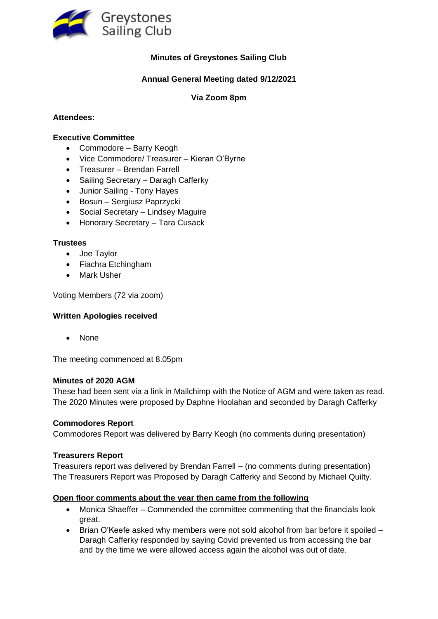

# **Minutes of Greystones Sailing Club**

## **Annual General Meeting dated 9/12/2021**

### **Via Zoom 8pm**

#### **Attendees:**

#### **Executive Committee**

- Commodore Barry Keogh
- Vice Commodore/ Treasurer Kieran O'Byrne
- Treasurer Brendan Farrell
- Sailing Secretary Daragh Cafferky
- Junior Sailing Tony Hayes
- Bosun Sergiusz Paprzycki
- Social Secretary Lindsey Maguire
- Honorary Secretary Tara Cusack

### **Trustees**

- Joe Taylor
- Fiachra Etchingham
- Mark Usher

Voting Members (72 via zoom)

### **Written Apologies received**

• None

The meeting commenced at 8.05pm

#### **Minutes of 2020 AGM**

These had been sent via a link in Mailchimp with the Notice of AGM and were taken as read. The 2020 Minutes were proposed by Daphne Hoolahan and seconded by Daragh Cafferky

### **Commodores Report**

Commodores Report was delivered by Barry Keogh (no comments during presentation)

### **Treasurers Report**

Treasurers report was delivered by Brendan Farrell – (no comments during presentation) The Treasurers Report was Proposed by Daragh Cafferky and Second by Michael Quilty.

### **Open floor comments about the year then came from the following**

- Monica Shaeffer Commended the committee commenting that the financials look great.
- Brian O'Keefe asked why members were not sold alcohol from bar before it spoiled Daragh Cafferky responded by saying Covid prevented us from accessing the bar and by the time we were allowed access again the alcohol was out of date.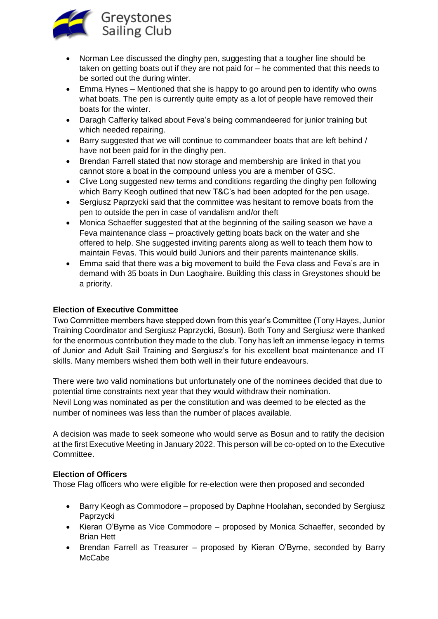

- Norman Lee discussed the dinghy pen, suggesting that a tougher line should be taken on getting boats out if they are not paid for – he commented that this needs to be sorted out the during winter.
- Emma Hynes Mentioned that she is happy to go around pen to identify who owns what boats. The pen is currently quite empty as a lot of people have removed their boats for the winter.
- Daragh Cafferky talked about Feva's being commandeered for junior training but which needed repairing.
- Barry suggested that we will continue to commandeer boats that are left behind / have not been paid for in the dinghy pen.
- Brendan Farrell stated that now storage and membership are linked in that you cannot store a boat in the compound unless you are a member of GSC.
- Clive Long suggested new terms and conditions regarding the dinghy pen following which Barry Keogh outlined that new T&C's had been adopted for the pen usage.
- Sergiusz Paprzycki said that the committee was hesitant to remove boats from the pen to outside the pen in case of vandalism and/or theft
- Monica Schaeffer suggested that at the beginning of the sailing season we have a Feva maintenance class – proactively getting boats back on the water and she offered to help. She suggested inviting parents along as well to teach them how to maintain Fevas. This would build Juniors and their parents maintenance skills.
- Emma said that there was a big movement to build the Feva class and Feva's are in demand with 35 boats in Dun Laoghaire. Building this class in Greystones should be a priority.

## **Election of Executive Committee**

Two Committee members have stepped down from this year's Committee (Tony Hayes, Junior Training Coordinator and Sergiusz Paprzycki, Bosun). Both Tony and Sergiusz were thanked for the enormous contribution they made to the club. Tony has left an immense legacy in terms of Junior and Adult Sail Training and Sergiusz's for his excellent boat maintenance and IT skills. Many members wished them both well in their future endeavours.

There were two valid nominations but unfortunately one of the nominees decided that due to potential time constraints next year that they would withdraw their nomination. Nevil Long was nominated as per the constitution and was deemed to be elected as the number of nominees was less than the number of places available.

A decision was made to seek someone who would serve as Bosun and to ratify the decision at the first Executive Meeting in January 2022. This person will be co-opted on to the Executive Committee.

### **Election of Officers**

Those Flag officers who were eligible for re-election were then proposed and seconded

- Barry Keogh as Commodore proposed by Daphne Hoolahan, seconded by Sergiusz Paprzycki
- Kieran O'Byrne as Vice Commodore proposed by Monica Schaeffer, seconded by Brian Hett
- Brendan Farrell as Treasurer proposed by Kieran O'Byrne, seconded by Barry McCabe